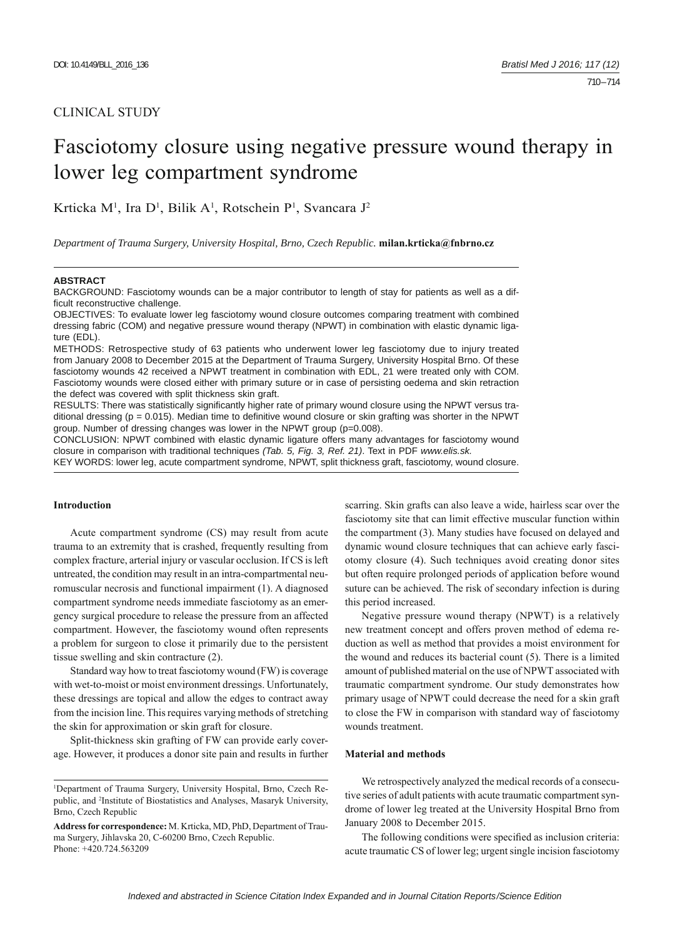## CLINICAL STUDY

# Fasciotomy closure using negative pressure wound therapy in lower leg compartment syndrome

Krticka M<sup>1</sup>, Ira D<sup>1</sup>, Bilik A<sup>1</sup>, Rotschein P<sup>1</sup>, Svancara J<sup>2</sup>

*Department of Trauma Surgery, University Hospital, Brno, Czech Republic.* **milan.krticka@fnbrno.cz**

#### **ABSTRACT**

BACKGROUND: Fasciotomy wounds can be a major contributor to length of stay for patients as well as a difficult reconstructive challenge.

OBJECTIVES: To evaluate lower leg fasciotomy wound closure outcomes comparing treatment with combined dressing fabric (COM) and negative pressure wound therapy (NPWT) in combination with elastic dynamic ligature (EDL).

METHODS: Retrospective study of 63 patients who underwent lower leg fasciotomy due to injury treated from January 2008 to December 2015 at the Department of Trauma Surgery, University Hospital Brno. Of these fasciotomy wounds 42 received a NPWT treatment in combination with EDL, 21 were treated only with COM. Fasciotomy wounds were closed either with primary suture or in case of persisting oedema and skin retraction the defect was covered with split thickness skin graft.

RESULTS: There was statistically significantly higher rate of primary wound closure using the NPWT versus traditional dressing ( $p = 0.015$ ). Median time to definitive wound closure or skin grafting was shorter in the NPWT group. Number of dressing changes was lower in the NPWT group (p=0.008).

CONCLUSION: NPWT combined with elastic dynamic ligature offers many advantages for fasciotomy wound closure in comparison with traditional techniques *(Tab. 5, Fig. 3, Ref. 21)*. Text in PDF *www.elis.sk.* KEY WORDS: lower leg, acute compartment syndrome, NPWT, split thickness graft, fasciotomy, wound closure.

### **Introduction**

Acute compartment syndrome (CS) may result from acute trauma to an extremity that is crashed, frequently resulting from complex fracture, arterial injury or vascular occlusion. If CS is left untreated, the condition may result in an intra-compartmental neuromuscular necrosis and functional impairment (1). A diagnosed compartment syndrome needs immediate fasciotomy as an emergency surgical procedure to release the pressure from an affected compartment. However, the fasciotomy wound often represents a problem for surgeon to close it primarily due to the persistent tissue swelling and skin contracture (2).

Standard way how to treat fasciotomy wound (FW) is coverage with wet-to-moist or moist environment dressings. Unfortunately, these dressings are topical and allow the edges to contract away from the incision line. This requires varying methods of stretching the skin for approximation or skin graft for closure.

Split-thickness skin grafting of FW can provide early coverage. However, it produces a donor site pain and results in further scarring. Skin grafts can also leave a wide, hairless scar over the fasciotomy site that can limit effective muscular function within the compartment (3). Many studies have focused on delayed and dynamic wound closure techniques that can achieve early fasciotomy closure (4). Such techniques avoid creating donor sites but often require prolonged periods of application before wound suture can be achieved. The risk of secondary infection is during this period increased.

Negative pressure wound therapy (NPWT) is a relatively new treatment concept and offers proven method of edema reduction as well as method that provides a moist environment for the wound and reduces its bacterial count (5). There is a limited amount of published material on the use of NPWT associated with traumatic compartment syndrome. Our study demonstrates how primary usage of NPWT could decrease the need for a skin graft to close the FW in comparison with standard way of fasciotomy wounds treatment.

## **Material and methods**

We retrospectively analyzed the medical records of a consecutive series of adult patients with acute traumatic compartment syndrome of lower leg treated at the University Hospital Brno from January 2008 to December 2015.

The following conditions were specified as inclusion criteria: acute traumatic CS of lower leg; urgent single incision fasciotomy

<sup>1</sup> Department of Trauma Surgery, University Hospital, Brno, Czech Republic, and 2 Institute of Biostatistics and Analyses, Masaryk University, Brno, Czech Republic

**Address for correspondence:** M. Krticka, MD, PhD, Department of Trauma Surgery, Jihlavska 20, C-60200 Brno, Czech Republic. Phone: +420.724.563209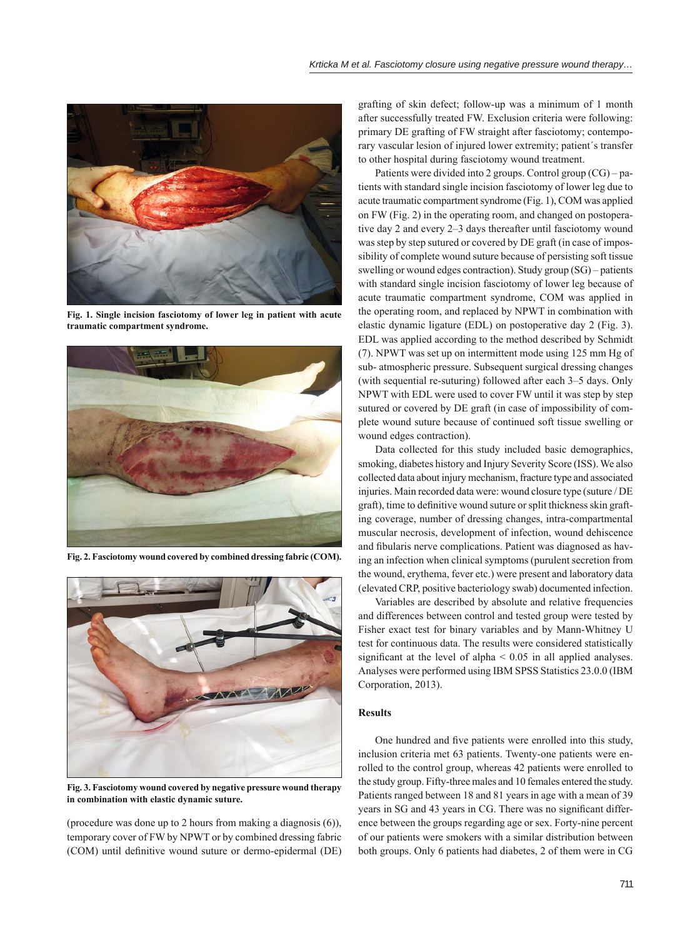

**Fig. 1. Single incision fasciotomy of lower leg in patient with acute traumatic compartment syndrome.**



**Fig. 2. Fasciotomy wound covered by combined dressing fabric (COM).**



**Fig. 3. Fasciotomy wound covered by negative pressure wound therapy in combination with elastic dynamic suture.**

(procedure was done up to 2 hours from making a diagnosis (6)), temporary cover of FW by NPWT or by combined dressing fabric (COM) until definitive wound suture or dermo-epidermal (DE) grafting of skin defect; follow-up was a minimum of 1 month after successfully treated FW. Exclusion criteria were following: primary DE grafting of FW straight after fasciotomy; contemporary vascular lesion of injured lower extremity; patient´s transfer to other hospital during fasciotomy wound treatment.

Patients were divided into 2 groups. Control group (CG) – patients with standard single incision fasciotomy of lower leg due to acute traumatic compartment syndrome (Fig. 1), COM was applied on FW (Fig. 2) in the operating room, and changed on postoperative day 2 and every 2–3 days thereafter until fasciotomy wound was step by step sutured or covered by DE graft (in case of impossibility of complete wound suture because of persisting soft tissue swelling or wound edges contraction). Study group (SG) – patients with standard single incision fasciotomy of lower leg because of acute traumatic compartment syndrome, COM was applied in the operating room, and replaced by NPWT in combination with elastic dynamic ligature (EDL) on postoperative day 2 (Fig. 3). EDL was applied according to the method described by Schmidt (7). NPWT was set up on intermittent mode using 125 mm Hg of sub- atmospheric pressure. Subsequent surgical dressing changes (with sequential re-suturing) followed after each 3–5 days. Only NPWT with EDL were used to cover FW until it was step by step sutured or covered by DE graft (in case of impossibility of complete wound suture because of continued soft tissue swelling or wound edges contraction).

Data collected for this study included basic demographics, smoking, diabetes history and Injury Severity Score (ISS). We also collected data about injury mechanism, fracture type and associated injuries. Main recorded data were: wound closure type (suture / DE graft), time to definitive wound suture or split thickness skin grafting coverage, number of dressing changes, intra-compartmental muscular necrosis, development of infection, wound dehiscence and fibularis nerve complications. Patient was diagnosed as having an infection when clinical symptoms (purulent secretion from the wound, erythema, fever etc.) were present and laboratory data (elevated CRP, positive bacteriology swab) documented infection.

Variables are described by absolute and relative frequencies and differences between control and tested group were tested by Fisher exact test for binary variables and by Mann-Whitney U test for continuous data. The results were considered statistically significant at the level of alpha  $< 0.05$  in all applied analyses. Analyses were performed using IBM SPSS Statistics 23.0.0 (IBM Corporation, 2013).

## **Results**

One hundred and five patients were enrolled into this study, inclusion criteria met 63 patients. Twenty-one patients were enrolled to the control group, whereas 42 patients were enrolled to the study group. Fifty-three males and 10 females entered the study. Patients ranged between 18 and 81 years in age with a mean of 39 years in SG and 43 years in CG. There was no significant difference between the groups regarding age or sex. Forty-nine percent of our patients were smokers with a similar distribution between both groups. Only 6 patients had diabetes, 2 of them were in CG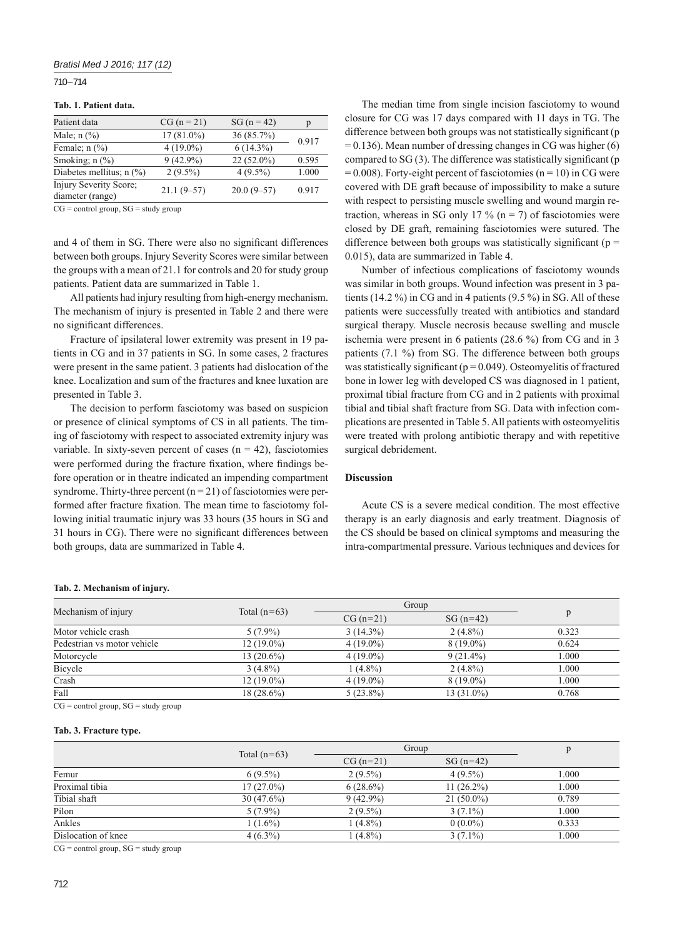## 710 – 714

#### **Tab. 1. Patient data.**

| Patient data                               | $CG (n = 21)$ | $SG (n = 42)$ | р     |
|--------------------------------------------|---------------|---------------|-------|
| Male; $n$ $\left(\frac{9}{6}\right)$       | $17(81.0\%)$  | 36(85.7%)     | 0.917 |
| Female; $n$ $\left(\frac{9}{6}\right)$     | $4(19.0\%)$   | $6(14.3\%)$   |       |
| Smoking; $n$ $(\%)$                        | $9(42.9\%)$   | $22(52.0\%)$  | 0.595 |
| Diabetes mellitus; $n$ (%)                 | $2(9.5\%)$    | $4(9.5\%)$    | 1.000 |
| Injury Severity Score;<br>diameter (range) | $21.1(9-57)$  | $20.0(9-57)$  | 0.917 |

 $CG = control group, SG = study group$ 

and 4 of them in SG. There were also no significant differences between both groups. Injury Severity Scores were similar between the groups with a mean of 21.1 for controls and 20 for study group patients. Patient data are summarized in Table 1.

All patients had injury resulting from high-energy mechanism. The mechanism of injury is presented in Table 2 and there were no significant differences.

Fracture of ipsilateral lower extremity was present in 19 patients in CG and in 37 patients in SG. In some cases, 2 fractures were present in the same patient. 3 patients had dislocation of the knee. Localization and sum of the fractures and knee luxation are presented in Table 3.

The decision to perform fasciotomy was based on suspicion or presence of clinical symptoms of CS in all patients. The timing of fasciotomy with respect to associated extremity injury was variable. In sixty-seven percent of cases ( $n = 42$ ), fasciotomies were performed during the fracture fixation, where findings before operation or in theatre indicated an impending compartment syndrome. Thirty-three percent  $(n = 21)$  of fasciotomies were performed after fracture fixation. The mean time to fasciotomy following initial traumatic injury was 33 hours (35 hours in SG and 31 hours in CG). There were no significant differences between both groups, data are summarized in Table 4.

The median time from single incision fasciotomy to wound closure for CG was 17 days compared with 11 days in TG. The difference between both groups was not statistically significant (p  $= 0.136$ ). Mean number of dressing changes in CG was higher (6) compared to  $SG(3)$ . The difference was statistically significant (p  $= 0.008$ ). Forty-eight percent of fasciotomies (n = 10) in CG were covered with DE graft because of impossibility to make a suture with respect to persisting muscle swelling and wound margin retraction, whereas in SG only 17 % ( $n = 7$ ) of fasciotomies were closed by DE graft, remaining fasciotomies were sutured. The difference between both groups was statistically significant ( $p =$ 0.015), data are summarized in Table 4.

Number of infectious complications of fasciotomy wounds was similar in both groups. Wound infection was present in 3 patients (14.2 %) in CG and in 4 patients (9.5 %) in SG. All of these patients were successfully treated with antibiotics and standard surgical therapy. Muscle necrosis because swelling and muscle ischemia were present in 6 patients (28.6 %) from CG and in 3 patients (7.1 %) from SG. The difference between both groups was statistically significant ( $p = 0.049$ ). Osteomyelitis of fractured bone in lower leg with developed CS was diagnosed in 1 patient, proximal tibial fracture from CG and in 2 patients with proximal tibial and tibial shaft fracture from SG. Data with infection complications are presented in Table 5. All patients with osteomyelitis were treated with prolong antibiotic therapy and with repetitive surgical debridement.

#### **Discussion**

Acute CS is a severe medical condition. The most effective therapy is an early diagnosis and early treatment. Diagnosis of the CS should be based on clinical symptoms and measuring the intra-compartmental pressure. Various techniques and devices for

#### **Tab. 2. Mechanism of injury.**

| Mechanism of injury                         | Total $(n=63)$ | Group       |              |       |
|---------------------------------------------|----------------|-------------|--------------|-------|
|                                             |                | $CG (n=21)$ | $SG(n=42)$   | Ď     |
| Motor vehicle crash                         | $5(7.9\%)$     | $3(14.3\%)$ | $2(4.8\%)$   | 0.323 |
| Pedestrian vs motor vehicle                 | $12(19.0\%)$   | $4(19.0\%)$ | $8(19.0\%)$  | 0.624 |
| Motorcycle                                  | $13(20.6\%)$   | $4(19.0\%)$ | $9(21.4\%)$  | 1.000 |
| Bicycle                                     | $3(4.8\%)$     | $1(4.8\%)$  | $2(4.8\%)$   | 1.000 |
| Crash                                       | $12(19.0\%)$   | $4(19.0\%)$ | $8(19.0\%)$  | 1.000 |
| Fall                                        | $18(28.6\%)$   | $5(23.8\%)$ | $13(31.0\%)$ | 0.768 |
| $CC = \{1, 1, , 1, , C\} = \{1, 1, , , C\}$ |                |             |              |       |

 $CG = control group, SG = study group$ 

#### **Tab. 3. Fracture type.**

|                     | Total $(n=63)$ | Group       |              |       |
|---------------------|----------------|-------------|--------------|-------|
|                     |                | $CG (n=21)$ | $SG(n=42)$   |       |
| Femur               | $6(9.5\%)$     | $2(9.5\%)$  | $4(9.5\%)$   | 1.000 |
| Proximal tibia      | $17(27.0\%)$   | $6(28.6\%)$ | $11(26.2\%)$ | 1.000 |
| Tibial shaft        | $30(47.6\%)$   | $9(42.9\%)$ | $21(50.0\%)$ | 0.789 |
| Pilon               | $5(7.9\%)$     | $2(9.5\%)$  | $3(7.1\%)$   | 1.000 |
| Ankles              | $(1.6\%)$      | $1(4.8\%)$  | $0(0.0\%)$   | 0.333 |
| Dislocation of knee | $4(6.3\%)$     | $1(4.8\%)$  | $3(7.1\%)$   | 1.000 |

 $CG = control group, SG = study group$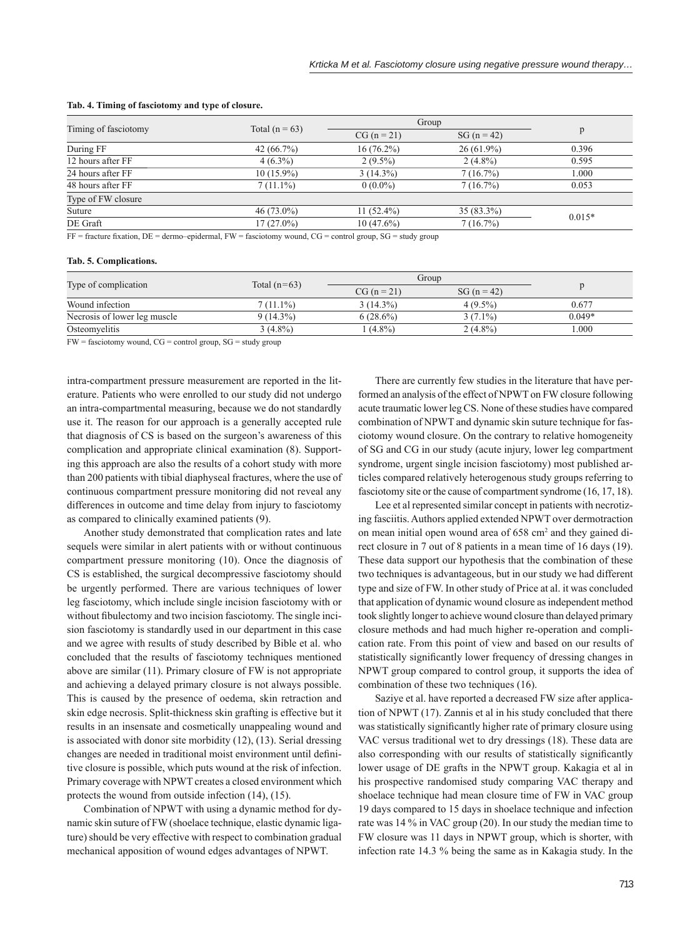| Timing of fasciotomy | Total ( $n = 63$ ) | Group         |               |          |
|----------------------|--------------------|---------------|---------------|----------|
|                      |                    | $CG (n = 21)$ | $SG (n = 42)$ | p        |
| During FF            | 42 $(66.7\%)$      | $16(76.2\%)$  | $26(61.9\%)$  | 0.396    |
| 12 hours after FF    | $4(6.3\%)$         | $2(9.5\%)$    | $2(4.8\%)$    | 0.595    |
| 24 hours after FF    | $10(15.9\%)$       | $3(14.3\%)$   | 7(16.7%)      | 1.000    |
| 48 hours after FF    | $7(11.1\%)$        | $0(0.0\%)$    | 7(16.7%)      | 0.053    |
| Type of FW closure   |                    |               |               |          |
| Suture               | $46(73.0\%)$       | 11 $(52.4\%)$ | $35(83.3\%)$  | $0.015*$ |
| DE Graft             | $17(27.0\%)$       | $10(47.6\%)$  | 7(16.7%)      |          |
| __ _ _ _ _ _ _       |                    |               |               |          |

#### **Tab. 4. Timing of fasciotomy and type of closure.**

 $FF =$  fracture fixation,  $DE =$  dermo–epidermal,  $FW =$  fasciotomy wound,  $CG =$  control group,  $SG =$  study group

#### **Tab. 5. Complications.**

| Type of complication         |                | Group         |               | $\mathbf{r}$ |
|------------------------------|----------------|---------------|---------------|--------------|
|                              | Total $(n=63)$ | $CG (n = 21)$ | $SG (n = 42)$ |              |
| Wound infection              | $7(11.1\%)$    | $3(14.3\%)$   | $4(9.5\%)$    | 0.677        |
| Necrosis of lower leg muscle | 9 (14.3%)      | $6(28.6\%)$   | $3(7.1\%)$    | $0.049*$     |
| Osteomyelitis                | $3(4.8\%)$     | $(4.8\%)$     | $2(4.8\%)$    | .000         |

 $FW =$  fasciotomy wound,  $CG =$  control group,  $SG =$  study group

intra-compartment pressure measurement are reported in the literature. Patients who were enrolled to our study did not undergo an intra-compartmental measuring, because we do not standardly use it. The reason for our approach is a generally accepted rule that diagnosis of CS is based on the surgeon's awareness of this complication and appropriate clinical examination (8). Supporting this approach are also the results of a cohort study with more than 200 patients with tibial diaphyseal fractures, where the use of continuous compartment pressure monitoring did not reveal any differences in outcome and time delay from injury to fasciotomy as compared to clinically examined patients (9).

Another study demonstrated that complication rates and late sequels were similar in alert patients with or without continuous compartment pressure monitoring (10). Once the diagnosis of CS is established, the surgical decompressive fasciotomy should be urgently performed. There are various techniques of lower leg fasciotomy, which include single incision fasciotomy with or without fibulectomy and two incision fasciotomy. The single incision fasciotomy is standardly used in our department in this case and we agree with results of study described by Bible et al. who concluded that the results of fasciotomy techniques mentioned above are similar (11). Primary closure of FW is not appropriate and achieving a delayed primary closure is not always possible. This is caused by the presence of oedema, skin retraction and skin edge necrosis. Split-thickness skin grafting is effective but it results in an insensate and cosmetically unappealing wound and is associated with donor site morbidity (12), (13). Serial dressing changes are needed in traditional moist environment until definitive closure is possible, which puts wound at the risk of infection. Primary coverage with NPWT creates a closed environment which protects the wound from outside infection (14), (15).

Combination of NPWT with using a dynamic method for dynamic skin suture of FW (shoelace technique, elastic dynamic ligature) should be very effective with respect to combination gradual mechanical apposition of wound edges advantages of NPWT.

There are currently few studies in the literature that have performed an analysis of the effect of NPWT on FW closure following acute traumatic lower leg CS. None of these studies have compared combination of NPWT and dynamic skin suture technique for fasciotomy wound closure. On the contrary to relative homogeneity of SG and CG in our study (acute injury, lower leg compartment syndrome, urgent single incision fasciotomy) most published articles compared relatively heterogenous study groups referring to fasciotomy site or the cause of compartment syndrome (16, 17, 18).

Lee et al represented similar concept in patients with necrotizing fasciitis. Authors applied extended NPWT over dermotraction on mean initial open wound area of 658 cm<sup>2</sup> and they gained direct closure in 7 out of 8 patients in a mean time of 16 days (19). These data support our hypothesis that the combination of these two techniques is advantageous, but in our study we had different type and size of FW. In other study of Price at al. it was concluded that application of dynamic wound closure as independent method took slightly longer to achieve wound closure than delayed primary closure methods and had much higher re-operation and complication rate. From this point of view and based on our results of statistically significantly lower frequency of dressing changes in NPWT group compared to control group, it supports the idea of combination of these two techniques (16).

Saziye et al. have reported a decreased FW size after application of NPWT (17). Zannis et al in his study concluded that there was statistically significantly higher rate of primary closure using VAC versus traditional wet to dry dressings (18). These data are also corresponding with our results of statistically significantly lower usage of DE grafts in the NPWT group. Kakagia et al in his prospective randomised study comparing VAC therapy and shoelace technique had mean closure time of FW in VAC group 19 days compared to 15 days in shoelace technique and infection rate was 14 % in VAC group (20). In our study the median time to FW closure was 11 days in NPWT group, which is shorter, with infection rate 14.3 % being the same as in Kakagia study. In the